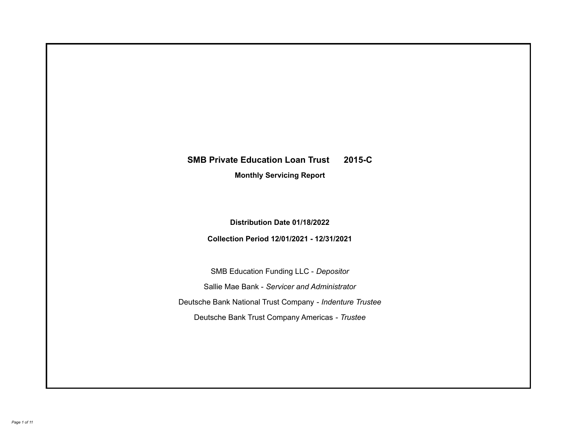# **SMB Private Education Loan Trust 2015-C**

**Monthly Servicing Report**

**Distribution Date 01/18/2022**

**Collection Period 12/01/2021 - 12/31/2021**

SMB Education Funding LLC - *Depositor* Sallie Mae Bank - *Servicer and Administrator* Deutsche Bank National Trust Company - *Indenture Trustee* Deutsche Bank Trust Company Americas - *Trustee*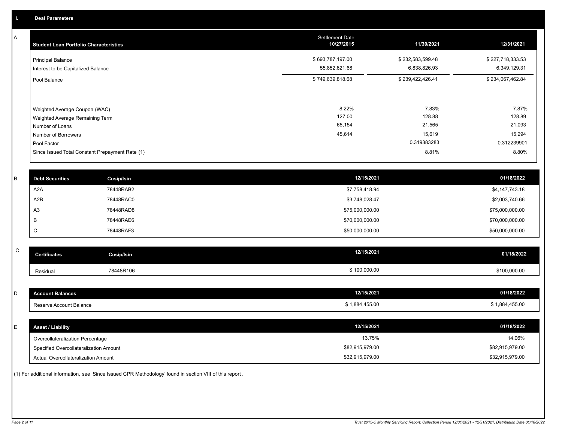A

| <b>Student Loan Portfolio Characteristics</b>                                                                             | <b>Settlement Date</b><br>10/27/2015 | 11/30/2021                                         | 12/31/2021                                         |
|---------------------------------------------------------------------------------------------------------------------------|--------------------------------------|----------------------------------------------------|----------------------------------------------------|
| <b>Principal Balance</b><br>Interest to be Capitalized Balance                                                            | \$693,787,197.00<br>55,852,621.68    | \$232,583,599.48<br>6,838,826.93                   | \$227,718,333.53<br>6,349,129.31                   |
| Pool Balance                                                                                                              | \$749,639,818.68                     | \$239,422,426.41                                   | \$234,067,462.84                                   |
| Weighted Average Coupon (WAC)<br>Weighted Average Remaining Term<br>Number of Loans<br>Number of Borrowers<br>Pool Factor | 8.22%<br>127.00<br>65,154<br>45,614  | 7.83%<br>128.88<br>21,565<br>15,619<br>0.319383283 | 7.87%<br>128.89<br>21,093<br>15,294<br>0.312239901 |
| Since Issued Total Constant Prepayment Rate (1)                                                                           |                                      | 8.81%                                              | 8.80%                                              |

| <b>Debt Securities</b> | <b>Cusip/Isin</b> | 12/15/2021      | 01/18/2022      |
|------------------------|-------------------|-----------------|-----------------|
| A2A                    | 78448RAB2         | \$7,758,418.94  | \$4,147,743.18  |
| A2B                    | 78448RAC0         | \$3,748,028.47  | \$2,003,740.66  |
| A <sub>3</sub>         | 78448RAD8         | \$75,000,000.00 | \$75,000,000.00 |
|                        | 78448RAE6         | \$70,000,000.00 | \$70,000,000.00 |
| ◡                      | 78448RAF3         | \$50,000,000.00 | \$50,000,000.00 |

| ۰.<br>ř<br>I<br>I<br>×<br>۰. |
|------------------------------|

| $\mathsf{C}$<br><b>Certificates</b>    | <b>Cusip/Isin</b> | 12/15/2021      | 01/18/2022      |
|----------------------------------------|-------------------|-----------------|-----------------|
| Residual                               | 78448R106         | \$100,000.00    | \$100,000.00    |
|                                        |                   |                 |                 |
| D<br><b>Account Balances</b>           |                   | 12/15/2021      | 01/18/2022      |
| Reserve Account Balance                |                   | \$1,884,455.00  | \$1,884,455.00  |
|                                        |                   |                 |                 |
| E.<br><b>Asset / Liability</b>         |                   | 12/15/2021      | 01/18/2022      |
| Overcollateralization Percentage       |                   | 13.75%          | 14.06%          |
| Specified Overcollateralization Amount |                   | \$82,915,979.00 | \$82,915,979.00 |

(1) For additional information, see 'Since Issued CPR Methodology' found in section VIII of this report .

Actual Overcollateralization Amount \$32,915,979.00

\$32,915,979.00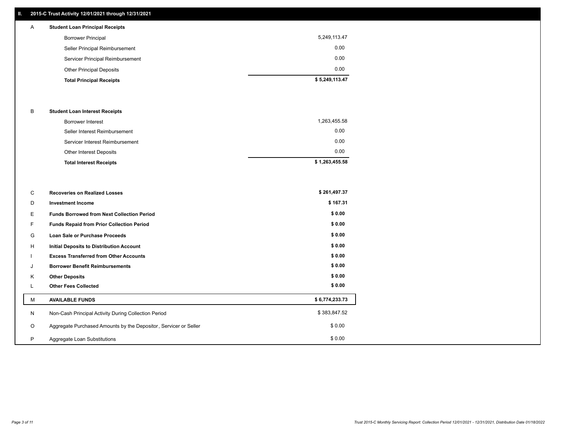# **II. 2015-C Trust Activity 12/01/2021 through 12/31/2021**

# A **Student Loan Principal Receipts**

| <b>Total Principal Receipts</b>  | \$5,249,113.47 |
|----------------------------------|----------------|
| <b>Other Principal Deposits</b>  | 0.00           |
| Servicer Principal Reimbursement | 0.00           |
| Seller Principal Reimbursement   | 0.00           |
| <b>Borrower Principal</b>        | 5,249,113.47   |
|                                  |                |

### B **Student Loan Interest Receipts**

| Borrower Interest               | 1,263,455.58   |
|---------------------------------|----------------|
| Seller Interest Reimbursement   | 0.00           |
| Servicer Interest Reimbursement | 0.00           |
| Other Interest Deposits         | 0.00           |
| <b>Total Interest Receipts</b>  | \$1,263,455.58 |

| C       | <b>Recoveries on Realized Losses</b>                             | \$261,497.37   |
|---------|------------------------------------------------------------------|----------------|
| D       | <b>Investment Income</b>                                         | \$167.31       |
| E.      | <b>Funds Borrowed from Next Collection Period</b>                | \$0.00         |
| F.      | Funds Repaid from Prior Collection Period                        | \$0.00         |
| G       | Loan Sale or Purchase Proceeds                                   | \$0.00         |
| H       | <b>Initial Deposits to Distribution Account</b>                  | \$0.00         |
|         | <b>Excess Transferred from Other Accounts</b>                    | \$0.00         |
| J       | <b>Borrower Benefit Reimbursements</b>                           | \$0.00         |
| Κ       | <b>Other Deposits</b>                                            | \$0.00         |
|         | <b>Other Fees Collected</b>                                      | \$0.00         |
| м       | <b>AVAILABLE FUNDS</b>                                           | \$6,774,233.73 |
| N       | Non-Cash Principal Activity During Collection Period             | \$383,847.52   |
| $\circ$ | Aggregate Purchased Amounts by the Depositor, Servicer or Seller | \$0.00         |
| P       | Aggregate Loan Substitutions                                     | \$0.00         |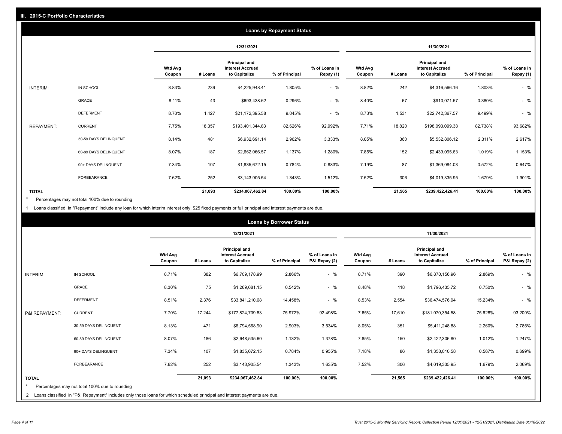|                   | <b>Loans by Repayment Status</b> |                          |            |                                                           |                |                            |                          |         |                                                           |                |                            |
|-------------------|----------------------------------|--------------------------|------------|-----------------------------------------------------------|----------------|----------------------------|--------------------------|---------|-----------------------------------------------------------|----------------|----------------------------|
|                   |                                  |                          | 12/31/2021 |                                                           |                |                            | 11/30/2021               |         |                                                           |                |                            |
|                   |                                  | <b>Wtd Avg</b><br>Coupon | # Loans    | Principal and<br><b>Interest Accrued</b><br>to Capitalize | % of Principal | % of Loans in<br>Repay (1) | <b>Wtd Avg</b><br>Coupon | # Loans | Principal and<br><b>Interest Accrued</b><br>to Capitalize | % of Principal | % of Loans in<br>Repay (1) |
| INTERIM:          | IN SCHOOL                        | 8.83%                    | 239        | \$4,225,948.41                                            | 1.805%         | $-$ %                      | 8.82%                    | 242     | \$4,316,566.16                                            | 1.803%         | $-$ %                      |
|                   | GRACE                            | 8.11%                    | 43         | \$693,438.62                                              | 0.296%         | $-$ %                      | 8.40%                    | 67      | \$910,071.57                                              | 0.380%         | $-$ %                      |
|                   | <b>DEFERMENT</b>                 | 8.70%                    | 1,427      | \$21,172,395.58                                           | 9.045%         | $-$ %                      | 8.73%                    | 1,531   | \$22,742,367.57                                           | 9.499%         | $-$ %                      |
| <b>REPAYMENT:</b> | <b>CURRENT</b>                   | 7.75%                    | 18,357     | \$193,401,344.83                                          | 82.626%        | 92.992%                    | 7.71%                    | 18,820  | \$198,093,099.38                                          | 82.738%        | 93.682%                    |
|                   | 30-59 DAYS DELINQUENT            | 8.14%                    | 481        | \$6,932,691.14                                            | 2.962%         | 3.333%                     | 8.05%                    | 360     | \$5,532,806.12                                            | 2.311%         | 2.617%                     |
|                   | 60-89 DAYS DELINQUENT            | 8.07%                    | 187        | \$2,662,066.57                                            | 1.137%         | 1.280%                     | 7.85%                    | 152     | \$2,439,095.63                                            | 1.019%         | 1.153%                     |
|                   | 90+ DAYS DELINQUENT              | 7.34%                    | 107        | \$1,835,672.15                                            | 0.784%         | 0.883%                     | 7.19%                    | 87      | \$1,369,084.03                                            | 0.572%         | 0.647%                     |
|                   | FORBEARANCE                      | 7.62%                    | 252        | \$3,143,905.54                                            | 1.343%         | 1.512%                     | 7.52%                    | 306     | \$4,019,335.95                                            | 1.679%         | 1.901%                     |
| <b>TOTAL</b>      |                                  |                          | 21,093     | \$234,067,462.84                                          | 100.00%        | 100.00%                    |                          | 21,565  | \$239,422,426.41                                          | 100.00%        | 100.00%                    |

Percentages may not total 100% due to rounding \*

1 Loans classified in "Repayment" include any loan for which interim interest only, \$25 fixed payments or full principal and interest payments are due.

|                 | <b>Loans by Borrower Status</b>                                                                                                                                                                                                                                                        |                          |            |                                                           |                |                                |                          |            |                                                                  |                |                                |
|-----------------|----------------------------------------------------------------------------------------------------------------------------------------------------------------------------------------------------------------------------------------------------------------------------------------|--------------------------|------------|-----------------------------------------------------------|----------------|--------------------------------|--------------------------|------------|------------------------------------------------------------------|----------------|--------------------------------|
|                 |                                                                                                                                                                                                                                                                                        |                          | 12/31/2021 |                                                           |                |                                |                          | 11/30/2021 |                                                                  |                |                                |
|                 |                                                                                                                                                                                                                                                                                        | <b>Wtd Avg</b><br>Coupon | # Loans    | Principal and<br><b>Interest Accrued</b><br>to Capitalize | % of Principal | % of Loans in<br>P&I Repay (2) | <b>Wtd Avg</b><br>Coupon | # Loans    | <b>Principal and</b><br><b>Interest Accrued</b><br>to Capitalize | % of Principal | % of Loans in<br>P&I Repay (2) |
| <b>INTERIM:</b> | IN SCHOOL                                                                                                                                                                                                                                                                              | 8.71%                    | 382        | \$6,709,178.99                                            | 2.866%         | $-$ %                          | 8.71%                    | 390        | \$6,870,156.96                                                   | 2.869%         | $-$ %                          |
|                 | <b>GRACE</b>                                                                                                                                                                                                                                                                           | 8.30%                    | 75         | \$1,269,681.15                                            | 0.542%         | $-$ %                          | 8.48%                    | 118        | \$1,796,435.72                                                   | 0.750%         | $-$ %                          |
|                 | <b>DEFERMENT</b>                                                                                                                                                                                                                                                                       | 8.51%                    | 2,376      | \$33,841,210.68                                           | 14.458%        | $-$ %                          | 8.53%                    | 2,554      | \$36,474,576.94                                                  | 15.234%        | $-$ %                          |
| P&I REPAYMENT:  | <b>CURRENT</b>                                                                                                                                                                                                                                                                         | 7.70%                    | 17,244     | \$177,824,709.83                                          | 75.972%        | 92.498%                        | 7.65%                    | 17,610     | \$181,070,354.58                                                 | 75.628%        | 93.200%                        |
|                 | 30-59 DAYS DELINQUENT                                                                                                                                                                                                                                                                  | 8.13%                    | 471        | \$6,794,568.90                                            | 2.903%         | 3.534%                         | 8.05%                    | 351        | \$5,411,248.88                                                   | 2.260%         | 2.785%                         |
|                 | 60-89 DAYS DELINQUENT                                                                                                                                                                                                                                                                  | 8.07%                    | 186        | \$2,648,535.60                                            | 1.132%         | 1.378%                         | 7.85%                    | 150        | \$2,422,306.80                                                   | 1.012%         | 1.247%                         |
|                 | 90+ DAYS DELINQUENT                                                                                                                                                                                                                                                                    | 7.34%                    | 107        | \$1,835,672.15                                            | 0.784%         | 0.955%                         | 7.18%                    | 86         | \$1,358,010.58                                                   | 0.567%         | 0.699%                         |
|                 | FORBEARANCE                                                                                                                                                                                                                                                                            | 7.62%                    | 252        | \$3,143,905.54                                            | 1.343%         | 1.635%                         | 7.52%                    | 306        | \$4,019,335.95                                                   | 1.679%         | 2.069%                         |
| <b>TOTAL</b>    | 100.00%<br>100.00%<br>100.00%<br>21,093<br>\$234,067,462.84<br>21,565<br>\$239,422,426.41<br>100.00%<br>Percentages may not total 100% due to rounding<br>2 Loans classified in "P&I Repayment" includes only those loans for which scheduled principal and interest payments are due. |                          |            |                                                           |                |                                |                          |            |                                                                  |                |                                |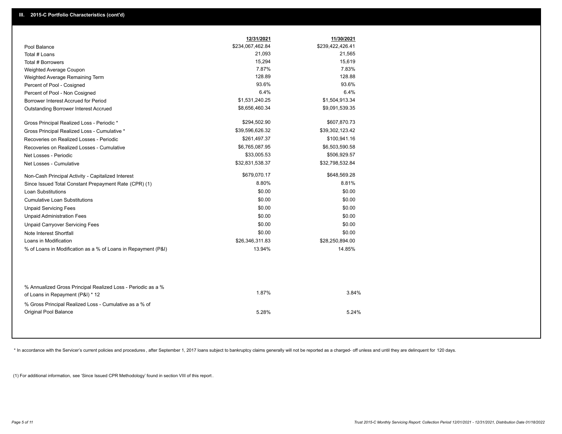|                                                                                                  | 12/31/2021       | 11/30/2021       |
|--------------------------------------------------------------------------------------------------|------------------|------------------|
| Pool Balance                                                                                     | \$234,067,462.84 | \$239,422,426.41 |
| Total # Loans                                                                                    | 21,093           | 21,565           |
| Total # Borrowers                                                                                | 15,294           | 15,619           |
| Weighted Average Coupon                                                                          | 7.87%            | 7.83%            |
| Weighted Average Remaining Term                                                                  | 128.89           | 128.88           |
| Percent of Pool - Cosigned                                                                       | 93.6%            | 93.6%            |
| Percent of Pool - Non Cosigned                                                                   | 6.4%             | 6.4%             |
| Borrower Interest Accrued for Period                                                             | \$1,531,240.25   | \$1,504,913.34   |
| Outstanding Borrower Interest Accrued                                                            | \$8,656,460.34   | \$9,091,539.35   |
| Gross Principal Realized Loss - Periodic *                                                       | \$294,502.90     | \$607,870.73     |
| Gross Principal Realized Loss - Cumulative *                                                     | \$39,596,626.32  | \$39,302,123.42  |
| Recoveries on Realized Losses - Periodic                                                         | \$261,497.37     | \$100,941.16     |
| Recoveries on Realized Losses - Cumulative                                                       | \$6,765,087.95   | \$6,503,590.58   |
| Net Losses - Periodic                                                                            | \$33,005.53      | \$506,929.57     |
| Net Losses - Cumulative                                                                          | \$32,831,538.37  | \$32,798,532.84  |
| Non-Cash Principal Activity - Capitalized Interest                                               | \$679,070.17     | \$648,569.28     |
| Since Issued Total Constant Prepayment Rate (CPR) (1)                                            | 8.80%            | 8.81%            |
| <b>Loan Substitutions</b>                                                                        | \$0.00           | \$0.00           |
| <b>Cumulative Loan Substitutions</b>                                                             | \$0.00           | \$0.00           |
| <b>Unpaid Servicing Fees</b>                                                                     | \$0.00           | \$0.00           |
| <b>Unpaid Administration Fees</b>                                                                | \$0.00           | \$0.00           |
| <b>Unpaid Carryover Servicing Fees</b>                                                           | \$0.00           | \$0.00           |
| Note Interest Shortfall                                                                          | \$0.00           | \$0.00           |
| Loans in Modification                                                                            | \$26,346,311.83  | \$28,250,894.00  |
| % of Loans in Modification as a % of Loans in Repayment (P&I)                                    | 13.94%           | 14.85%           |
|                                                                                                  |                  |                  |
| % Annualized Gross Principal Realized Loss - Periodic as a %<br>of Loans in Repayment (P&I) * 12 | 1.87%            | 3.84%            |
| % Gross Principal Realized Loss - Cumulative as a % of<br>Original Pool Balance                  | 5.28%            | 5.24%            |

\* In accordance with the Servicer's current policies and procedures, after September 1, 2017 loans subject to bankruptcy claims generally will not be reported as a charged- off unless and until they are delinquent for 120

(1) For additional information, see 'Since Issued CPR Methodology' found in section VIII of this report .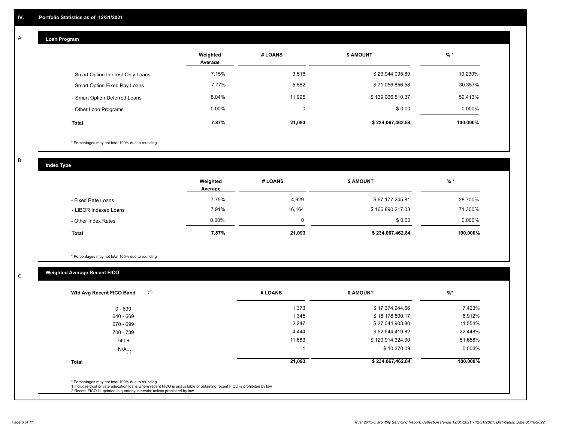#### **Loan Program**  A

|                                    | Weighted<br>Average | # LOANS     | <b>\$ AMOUNT</b> | $%$ *     |
|------------------------------------|---------------------|-------------|------------------|-----------|
| - Smart Option Interest-Only Loans | 7.15%               | 3,516       | \$23,944,095.89  | 10.230%   |
| - Smart Option Fixed Pay Loans     | 7.77%               | 5,582       | \$71,056,856.58  | 30.357%   |
| - Smart Option Deferred Loans      | 8.04%               | 11.995      | \$139,066,510.37 | 59.413%   |
| - Other Loan Programs              | $0.00\%$            | $\mathbf 0$ | \$0.00           | $0.000\%$ |
| <b>Total</b>                       | 7.87%               | 21,093      | \$234,067,462.84 | 100.000%  |

\* Percentages may not total 100% due to rounding

B

C

**Index Type**

|                       | Weighted<br>Average | # LOANS | <b>\$ AMOUNT</b> | % *       |
|-----------------------|---------------------|---------|------------------|-----------|
| - Fixed Rate Loans    | 7.75%               | 4,929   | \$67,177,245.81  | 28.700%   |
| - LIBOR Indexed Loans | 7.91%               | 16,164  | \$166,890,217.03 | 71.300%   |
| - Other Index Rates   | $0.00\%$            |         | \$0.00           | $0.000\%$ |
| <b>Total</b>          | 7.87%               | 21,093  | \$234,067,462.84 | 100.000%  |

\* Percentages may not total 100% due to rounding

# **Weighted Average Recent FICO**

| (2)<br>Wtd Avg Recent FICO Band | # LOANS | <b>\$ AMOUNT</b> | $%$ *     |
|---------------------------------|---------|------------------|-----------|
| $0 - 639$                       | 1,373   | \$17,374,944.66  | 7.423%    |
| 640 - 669                       | 1,345   | \$16,178,500.17  | 6.912%    |
| 670 - 699                       | 2,247   | \$27,044,903.80  | 11.554%   |
| 700 - 739                       | 4,444   | \$52,544,419.82  | 22.448%   |
| $740 +$                         | 11,683  | \$120,914,324.30 | 51.658%   |
| $N/A$ <sub>(1)</sub>            |         | \$10,370.09      | $0.004\%$ |
| <b>Total</b>                    | 21,093  | \$234,067,462.84 | 100.000%  |
|                                 |         |                  |           |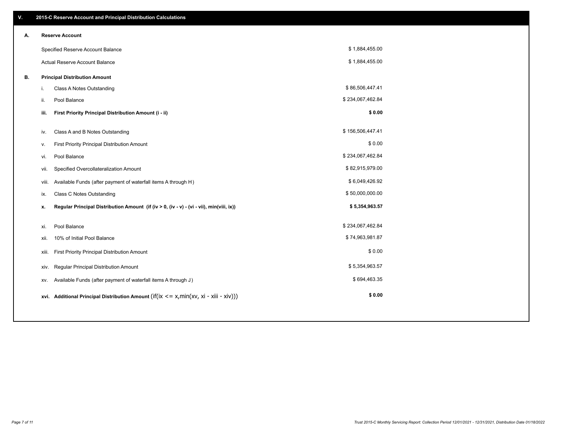| V. |       | 2015-C Reserve Account and Principal Distribution Calculations                                      |                  |  |
|----|-------|-----------------------------------------------------------------------------------------------------|------------------|--|
| А. |       | <b>Reserve Account</b>                                                                              |                  |  |
|    |       | Specified Reserve Account Balance                                                                   | \$1,884,455.00   |  |
|    |       | Actual Reserve Account Balance                                                                      | \$1,884,455.00   |  |
| В. |       | <b>Principal Distribution Amount</b>                                                                |                  |  |
|    | j.    | Class A Notes Outstanding                                                                           | \$86,506,447.41  |  |
|    | ii.   | Pool Balance                                                                                        | \$234,067,462.84 |  |
|    | iii.  | First Priority Principal Distribution Amount (i - ii)                                               | \$0.00           |  |
|    |       |                                                                                                     | \$156,506,447.41 |  |
|    | iv.   | Class A and B Notes Outstanding                                                                     |                  |  |
|    | v.    | First Priority Principal Distribution Amount                                                        | \$0.00           |  |
|    | vi.   | Pool Balance                                                                                        | \$234,067,462.84 |  |
|    | vii.  | Specified Overcollateralization Amount                                                              | \$82,915,979.00  |  |
|    | viii. | Available Funds (after payment of waterfall items A through H)                                      | \$6,049,426.92   |  |
|    | ix.   | <b>Class C Notes Outstanding</b>                                                                    | \$50,000,000.00  |  |
|    | х.    | Regular Principal Distribution Amount (if (iv > 0, (iv - v) - (vi - vii), min(viii, ix))            | \$5,354,963.57   |  |
|    |       |                                                                                                     |                  |  |
|    | XI.   | Pool Balance                                                                                        | \$234,067,462.84 |  |
|    | xii.  | 10% of Initial Pool Balance                                                                         | \$74,963,981.87  |  |
|    | xiii. | First Priority Principal Distribution Amount                                                        | \$0.00           |  |
|    | XIV.  | Regular Principal Distribution Amount                                                               | \$5,354,963.57   |  |
|    | XV.   | Available Funds (after payment of waterfall items A through J)                                      | \$694,463.35     |  |
|    |       | xvi. Additional Principal Distribution Amount (if( $ix \le x$ , min( $xv$ , $xi$ - $xiii - xiv$ ))) | \$0.00           |  |
|    |       |                                                                                                     |                  |  |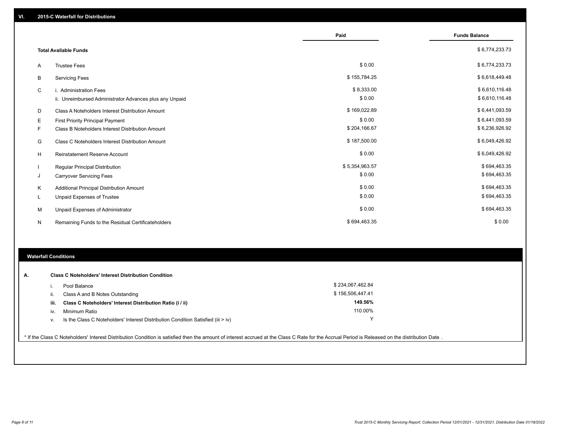|   |                                                         | Paid           | <b>Funds Balance</b> |
|---|---------------------------------------------------------|----------------|----------------------|
|   | <b>Total Available Funds</b>                            |                | \$6,774,233.73       |
| Α | <b>Trustee Fees</b>                                     | \$0.00         | \$6,774,233.73       |
| B | <b>Servicing Fees</b>                                   | \$155,784.25   | \$6,618,449.48       |
| C | i. Administration Fees                                  | \$8,333.00     | \$6,610,116.48       |
|   | ii. Unreimbursed Administrator Advances plus any Unpaid | \$0.00         | \$6,610,116.48       |
| D | Class A Noteholders Interest Distribution Amount        | \$169,022.89   | \$6,441,093.59       |
| Е | <b>First Priority Principal Payment</b>                 | \$0.00         | \$6,441,093.59       |
| F | Class B Noteholders Interest Distribution Amount        | \$204,166.67   | \$6,236,926.92       |
| G | <b>Class C Noteholders Interest Distribution Amount</b> | \$187,500.00   | \$6,049,426.92       |
| Н | Reinstatement Reserve Account                           | \$0.00         | \$6,049,426.92       |
|   | Regular Principal Distribution                          | \$5,354,963.57 | \$694,463.35         |
| J | <b>Carryover Servicing Fees</b>                         | \$0.00         | \$694,463.35         |
| Κ | Additional Principal Distribution Amount                | \$0.00         | \$694,463.35         |
| L | Unpaid Expenses of Trustee                              | \$0.00         | \$694,463.35         |
| м | Unpaid Expenses of Administrator                        | \$0.00         | \$694,463.35         |
| N | Remaining Funds to the Residual Certificateholders      | \$694,463.35   | \$0.00               |

## **Waterfall Conditions**

| А. |      | <b>Class C Noteholders' Interest Distribution Condition</b>                        |                  |  |
|----|------|------------------------------------------------------------------------------------|------------------|--|
|    |      | Pool Balance                                                                       | \$234,067,462.84 |  |
|    | Ш.   | Class A and B Notes Outstanding                                                    | \$156,506,447.41 |  |
|    | iii. | Class C Noteholders' Interest Distribution Ratio (i / ii)                          | 149.56%          |  |
|    | IV.  | Minimum Ratio                                                                      | 110.00%          |  |
|    | ν.   | Is the Class C Noteholders' Interest Distribution Condition Satisfied (iii $>$ iv) | v                |  |
|    |      |                                                                                    |                  |  |

\* If the Class C Noteholders' Interest Distribution Condition is satisfied then the amount of interest accrued at the Class C Rate for the Accrual Period is Released on the distribution Date .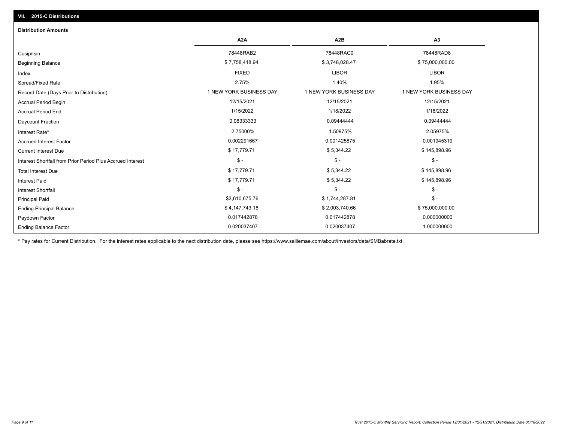| <b>Distribution Amounts</b>                                |                         |                         |                         |
|------------------------------------------------------------|-------------------------|-------------------------|-------------------------|
|                                                            | A <sub>2</sub> A        | A <sub>2</sub> B        | A3                      |
| Cusip/Isin                                                 | 78448RAB2               | 78448RAC0               | 78448RAD8               |
| <b>Beginning Balance</b>                                   | \$7,758,418.94          | \$3,748,028.47          | \$75,000,000.00         |
| Index                                                      | <b>FIXED</b>            | <b>LIBOR</b>            | <b>LIBOR</b>            |
| Spread/Fixed Rate                                          | 2.75%                   | 1.40%                   | 1.95%                   |
| Record Date (Days Prior to Distribution)                   | 1 NEW YORK BUSINESS DAY | 1 NEW YORK BUSINESS DAY | 1 NEW YORK BUSINESS DAY |
| <b>Accrual Period Begin</b>                                | 12/15/2021              | 12/15/2021              | 12/15/2021              |
| <b>Accrual Period End</b>                                  | 1/15/2022               | 1/18/2022               | 1/18/2022               |
| Daycount Fraction                                          | 0.08333333              | 0.09444444              | 0.09444444              |
| Interest Rate*                                             | 2.75000%                | 1.50975%                | 2.05975%                |
| <b>Accrued Interest Factor</b>                             | 0.002291667             | 0.001425875             | 0.001945319             |
| <b>Current Interest Due</b>                                | \$17,779.71             | \$5,344.22              | \$145,898.96            |
| Interest Shortfall from Prior Period Plus Accrued Interest | $\mathsf{\$}$ -         | $\mathsf{\$}$ -         | $\mathsf{\$}$ -         |
| <b>Total Interest Due</b>                                  | \$17,779.71             | \$5,344.22              | \$145,898.96            |
| <b>Interest Paid</b>                                       | \$17,779.71             | \$5,344.22              | \$145,898.96            |
| <b>Interest Shortfall</b>                                  | $\mathsf{\$}$ -         | $$ -$                   | $\mathsf{\$}$ -         |
| <b>Principal Paid</b>                                      | \$3,610,675.76          | \$1,744,287.81          | $$ -$                   |
| <b>Ending Principal Balance</b>                            | \$4,147,743.18          | \$2,003,740.66          | \$75,000,000.00         |
| Paydown Factor                                             | 0.017442878             | 0.017442878             | 0.000000000             |
| <b>Ending Balance Factor</b>                               | 0.020037407             | 0.020037407             | 1.000000000             |

\* Pay rates for Current Distribution. For the interest rates applicable to the next distribution date, please see https://www.salliemae.com/about/investors/data/SMBabrate.txt.

**VII. 2015-C Distributions**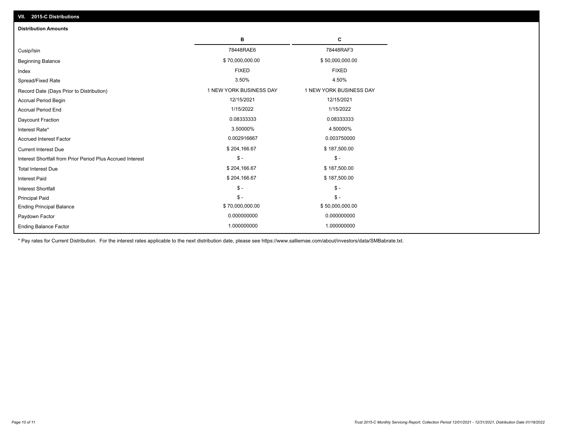| VII. 2015-C Distributions                                  |                         |                         |
|------------------------------------------------------------|-------------------------|-------------------------|
| <b>Distribution Amounts</b>                                |                         |                         |
|                                                            | в                       | С                       |
| Cusip/Isin                                                 | 78448RAE6               | 78448RAF3               |
| <b>Beginning Balance</b>                                   | \$70,000,000.00         | \$50,000,000.00         |
| Index                                                      | <b>FIXED</b>            | <b>FIXED</b>            |
| Spread/Fixed Rate                                          | 3.50%                   | 4.50%                   |
| Record Date (Days Prior to Distribution)                   | 1 NEW YORK BUSINESS DAY | 1 NEW YORK BUSINESS DAY |
| <b>Accrual Period Begin</b>                                | 12/15/2021              | 12/15/2021              |
| <b>Accrual Period End</b>                                  | 1/15/2022               | 1/15/2022               |
| Daycount Fraction                                          | 0.08333333              | 0.08333333              |
| Interest Rate*                                             | 3.50000%                | 4.50000%                |
| <b>Accrued Interest Factor</b>                             | 0.002916667             | 0.003750000             |
| <b>Current Interest Due</b>                                | \$204,166.67            | \$187,500.00            |
| Interest Shortfall from Prior Period Plus Accrued Interest | $\frac{1}{2}$           | $\frac{1}{2}$           |
| <b>Total Interest Due</b>                                  | \$204,166.67            | \$187,500.00            |
| Interest Paid                                              | \$204,166.67            | \$187,500.00            |
| Interest Shortfall                                         | $\frac{1}{2}$           | $$ -$                   |
| <b>Principal Paid</b>                                      | $\mathsf{\$}$ -         | $S -$                   |
| <b>Ending Principal Balance</b>                            | \$70,000,000.00         | \$50,000,000.00         |
| Paydown Factor                                             | 0.000000000             | 0.000000000             |
| <b>Ending Balance Factor</b>                               | 1.000000000             | 1.000000000             |

\* Pay rates for Current Distribution. For the interest rates applicable to the next distribution date, please see https://www.salliemae.com/about/investors/data/SMBabrate.txt.